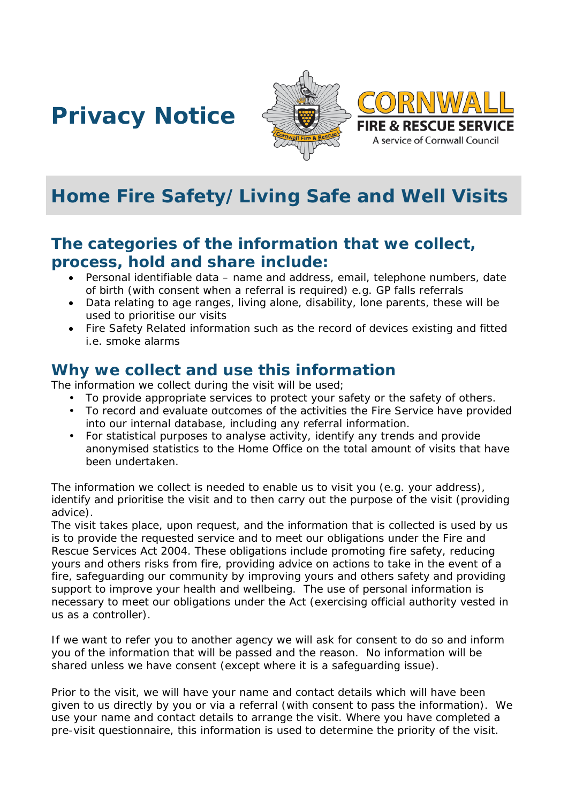# **Privacy Notice**





# **Home Fire Safety/Living Safe and Well Visits**

# **The categories of the information that we collect, process, hold and share include:**

- Personal identifiable data name and address, email, telephone numbers, date of birth (with consent when a referral is required) e.g. GP falls referrals
- Data relating to age ranges, living alone, disability, lone parents, these will be used to prioritise our visits
- Fire Safety Related information such as the record of devices existing and fitted i.e. smoke alarms

### **Why we collect and use this information**

The information we collect during the visit will be used;

- To provide appropriate services to protect your safety or the safety of others.
- To record and evaluate outcomes of the activities the Fire Service have provided into our internal database, including any referral information.
- For statistical purposes to analyse activity, identify any trends and provide anonymised statistics to the Home Office on the total amount of visits that have been undertaken.

The information we collect is needed to enable us to visit you (e.g. your address), identify and prioritise the visit and to then carry out the purpose of the visit (providing advice).

The visit takes place, upon request, and the information that is collected is used by us is to provide the requested service and to meet our obligations under the Fire and Rescue Services Act 2004. These obligations include promoting fire safety, reducing yours and others risks from fire, providing advice on actions to take in the event of a fire, safeguarding our community by improving yours and others safety and providing support to improve your health and wellbeing. The use of personal information is necessary to meet our obligations under the Act (exercising official authority vested in us as a controller).

If we want to refer you to another agency we will ask for consent to do so and inform you of the information that will be passed and the reason. No information will be shared unless we have consent (except where it is a safeguarding issue).

Prior to the visit, we will have your name and contact details which will have been given to us directly by you or via a referral (with consent to pass the information). We use your name and contact details to arrange the visit. Where you have completed a pre-visit questionnaire, this information is used to determine the priority of the visit.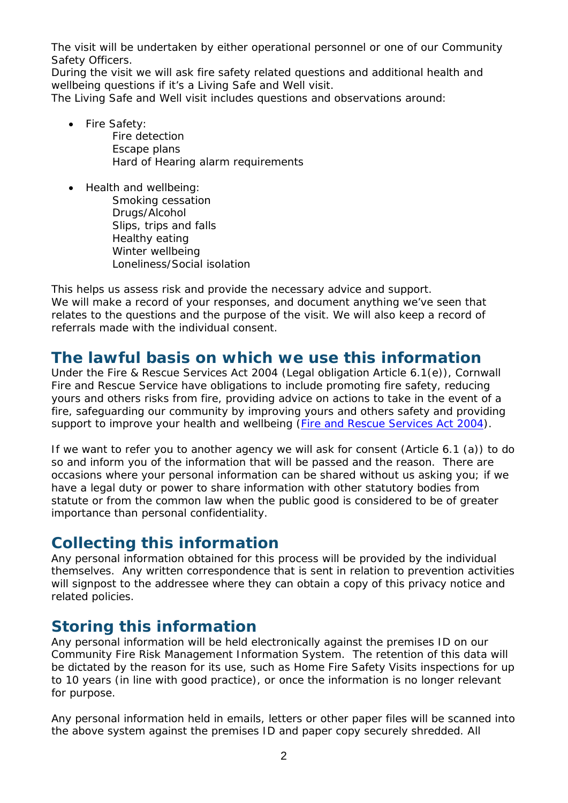The visit will be undertaken by either operational personnel or one of our Community Safety Officers.

During the visit we will ask fire safety related questions and additional health and wellbeing questions if it's a Living Safe and Well visit.

The Living Safe and Well visit includes questions and observations around:

- Fire Safety: Fire detection Escape plans Hard of Hearing alarm requirements
- Health and wellbeing:
	- Smoking cessation Drugs/Alcohol Slips, trips and falls Healthy eating Winter wellbeing Loneliness/Social isolation

This helps us assess risk and provide the necessary advice and support. We will make a record of your responses, and document anything we've seen that relates to the questions and the purpose of the visit. We will also keep a record of referrals made with the individual consent.

#### **The lawful basis on which we use this information**

Under the Fire & Rescue Services Act 2004 (Legal obligation Article 6.1(e)), Cornwall Fire and Rescue Service have obligations to include promoting fire safety, reducing yours and others risks from fire, providing advice on actions to take in the event of a fire, safeguarding our community by improving yours and others safety and providing support to improve your health and wellbeing (*[Fire and Rescue Services Act 2004](http://www.legislation.gov.uk/ukpga/2004/21/contents)*).

If we want to refer you to another agency we will ask for consent (Article 6.1 (a)) to do so and inform you of the information that will be passed and the reason. There are occasions where your personal information can be shared without us asking you; if we have a legal duty or power to share information with other statutory bodies from statute or from the common law when the public good is considered to be of greater importance than personal confidentiality.

### **Collecting this information**

Any personal information obtained for this process will be provided by the individual themselves. Any written correspondence that is sent in relation to prevention activities will signpost to the addressee where they can obtain a copy of this privacy notice and related policies.

# **Storing this information**

Any personal information will be held electronically against the premises ID on our Community Fire Risk Management Information System. The retention of this data will be dictated by the reason for its use, such as Home Fire Safety Visits inspections for up to 10 years (in line with good practice), or once the information is no longer relevant for purpose.

Any personal information held in emails, letters or other paper files will be scanned into the above system against the premises ID and paper copy securely shredded. All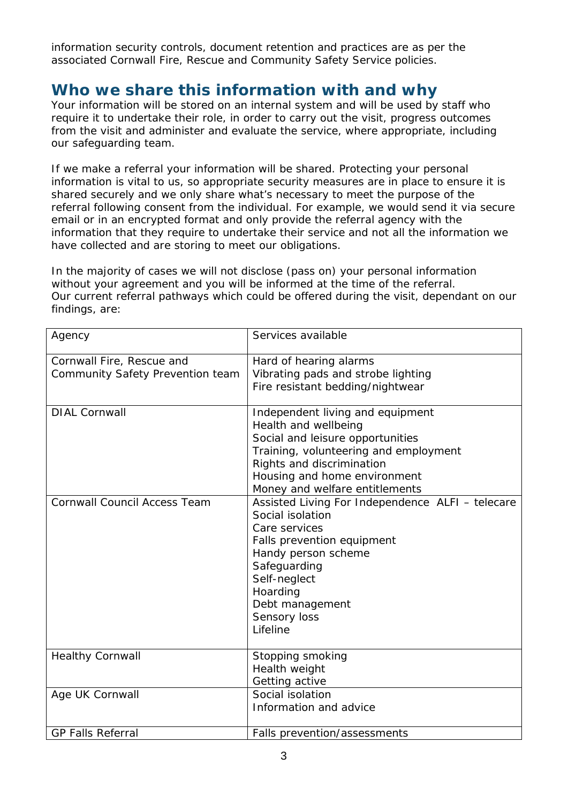information security controls, document retention and practices are as per the associated Cornwall Fire, Rescue and Community Safety Service policies.

### **Who we share this information with and why**

Your information will be stored on an internal system and will be used by staff who require it to undertake their role, in order to carry out the visit, progress outcomes from the visit and administer and evaluate the service, where appropriate, including our safeguarding team.

If we make a referral your information will be shared. Protecting your personal information is vital to us, so appropriate security measures are in place to ensure it is shared securely and we only share what's necessary to meet the purpose of the referral following consent from the individual. For example, we would send it via secure email or in an encrypted format and only provide the referral agency with the information that they require to undertake their service and not all the information we have collected and are storing to meet our obligations.

In the majority of cases we will not disclose (pass on) your personal information without your agreement and you will be informed at the time of the referral. Our current referral pathways which could be offered during the visit, dependant on our findings, are:

| Agency                                                        | Services available                                                                                                                                                                                                                    |
|---------------------------------------------------------------|---------------------------------------------------------------------------------------------------------------------------------------------------------------------------------------------------------------------------------------|
| Cornwall Fire, Rescue and<br>Community Safety Prevention team | Hard of hearing alarms<br>Vibrating pads and strobe lighting<br>Fire resistant bedding/nightwear                                                                                                                                      |
| <b>DIAL Cornwall</b>                                          | Independent living and equipment<br>Health and wellbeing<br>Social and leisure opportunities<br>Training, volunteering and employment<br>Rights and discrimination<br>Housing and home environment<br>Money and welfare entitlements  |
| <b>Cornwall Council Access Team</b>                           | Assisted Living For Independence ALFI - telecare<br>Social isolation<br>Care services<br>Falls prevention equipment<br>Handy person scheme<br>Safeguarding<br>Self-neglect<br>Hoarding<br>Debt management<br>Sensory loss<br>Lifeline |
| <b>Healthy Cornwall</b>                                       | Stopping smoking<br>Health weight<br>Getting active                                                                                                                                                                                   |
| Age UK Cornwall                                               | Social isolation<br>Information and advice                                                                                                                                                                                            |
| <b>GP Falls Referral</b>                                      | Falls prevention/assessments                                                                                                                                                                                                          |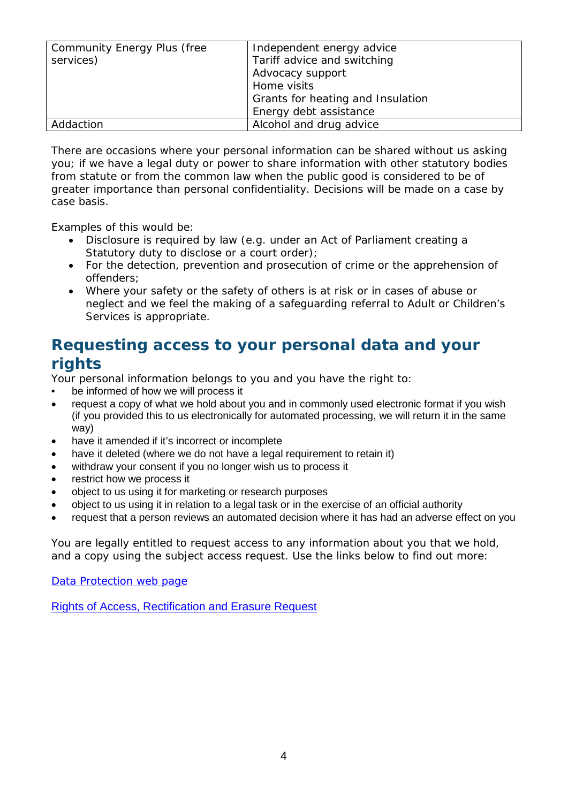| Community Energy Plus (free<br>services) | Independent energy advice<br>Tariff advice and switching<br>Advocacy support<br>Home visits<br>Grants for heating and Insulation<br>Energy debt assistance |
|------------------------------------------|------------------------------------------------------------------------------------------------------------------------------------------------------------|
| Addaction                                | Alcohol and drug advice                                                                                                                                    |

There are occasions where your personal information can be shared without us asking you; if we have a legal duty or power to share information with other statutory bodies from statute or from the common law when the public good is considered to be of greater importance than personal confidentiality. Decisions will be made on a case by case basis.

Examples of this would be:

- Disclosure is required by law (e.g. under an Act of Parliament creating a Statutory duty to disclose or a court order);
- For the detection, prevention and prosecution of crime or the apprehension of offenders;
- Where your safety or the safety of others is at risk or in cases of abuse or neglect and we feel the making of a safeguarding referral to Adult or Children's Services is appropriate.

# **Requesting access to your personal data and your rights**

Your personal information belongs to you and you have the right to:

- be informed of how we will process it
- request a copy of what we hold about you and in commonly used electronic format if you wish (if you provided this to us electronically for automated processing, we will return it in the same way)
- have it amended if it's incorrect or incomplete
- have it deleted (where we do not have a legal requirement to retain it)
- withdraw your consent if you no longer wish us to process it
- restrict how we process it
- object to us using it for marketing or research purposes
- object to us using it in relation to a legal task or in the exercise of an official authority
- request that a person reviews an automated decision where it has had an adverse effect on you

You are legally entitled to request access to any information about you that we hold, and a copy using the subject access request. Use the links below to find out more:

[Data Protection web page](http://www.cornwall.gov.uk/council-and-democracy/data-protection-and-freedom-of-information/data-protection)

[Rights of Access, Rectification and Erasure Request](https://www.cornwall.gov.uk/media/33315555/form-2018-rare-form-blank.pdf)